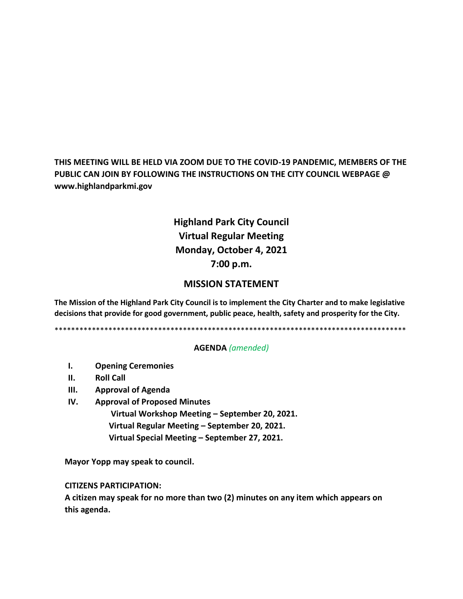**THIS MEETING WILL BE HELD VIA ZOOM DUE TO THE COVID-19 PANDEMIC, MEMBERS OF THE PUBLIC CAN JOIN BY FOLLOWING THE INSTRUCTIONS ON THE CITY COUNCIL WEBPAGE @ www.highlandparkmi.gov**

# **Highland Park City Council Virtual Regular Meeting Monday, October 4, 2021 7:00 p.m.**

## **MISSION STATEMENT**

**The Mission of the Highland Park City Council is to implement the City Charter and to make legislative decisions that provide for good government, public peace, health, safety and prosperity for the City.**

\*\*\*\*\*\*\*\*\*\*\*\*\*\*\*\*\*\*\*\*\*\*\*\*\*\*\*\*\*\*\*\*\*\*\*\*\*\*\*\*\*\*\*\*\*\*\*\*\*\*\*\*\*\*\*\*\*\*\*\*\*\*\*\*\*\*\*\*\*\*\*\*\*\*\*\*\*\*\*\*\*\*\*\*\*

## **AGENDA** *(amended)*

- **I. Opening Ceremonies**
- **II. Roll Call**
- **III. Approval of Agenda**
- **IV. Approval of Proposed Minutes**

 **Virtual Workshop Meeting – September 20, 2021. Virtual Regular Meeting – September 20, 2021. Virtual Special Meeting – September 27, 2021.** 

**Mayor Yopp may speak to council.** 

 **CITIZENS PARTICIPATION:**

 **A citizen may speak for no more than two (2) minutes on any item which appears on this agenda.**